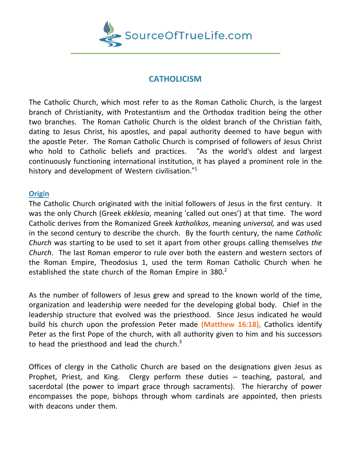

## **CATHOLICISM**

The Catholic Church, which most refer to as the Roman Catholic Church, is the largest branch of Christianity, with Protestantism and the Orthodox tradition being the other two branches. The Roman Catholic Church is the oldest branch of the Christian faith, dating to Jesus Christ, his apostles, and papal authority deemed to have begun with the apostle Peter. The Roman Catholic Church is comprised of followers of Jesus Christ who hold to Catholic beliefs and practices. "As the world's oldest and largest continuously functioning international institution, it has played a prominent role in the history and development of Western civilisation."<sup>1</sup>

## **Origin**

The Catholic Church originated with the initial followers of Jesus in the first century. It was the only Church (Greek *ekklesia*, meaning 'called out ones') at that time. The word Catholic derives from the Romanized Greek *katholikos*, meaning *universal,* and was used in the second century to describe the church. By the fourth century, the name *Catholic Church* was starting to be used to set it apart from other groups calling themselves *the Church*. The last Roman emperor to rule over both the eastern and western sectors of the Roman Empire, Theodosius 1, used the term Roman Catholic Church when he established the state church of the Roman Empire in 380. $^2$ 

As the number of followers of Jesus grew and spread to the known world of the time, organization and leadership were needed for the developing global body. Chief in the leadership structure that evolved was the priesthood. Since Jesus indicated he would build his church upon the profession Peter made **(Matthew 16:18),** Catholics identify Peter as the first Pope of the church, with all authority given to him and his successors to head the priesthood and lead the church.<sup>3</sup>

Offices of clergy in the Catholic Church are based on the designations given Jesus as Prophet, Priest, and King. Clergy perform these duties – teaching, pastoral, and sacerdotal (the power to impart grace through sacraments). The hierarchy of power encompasses the pope, bishops through whom cardinals are appointed, then priests with deacons under them.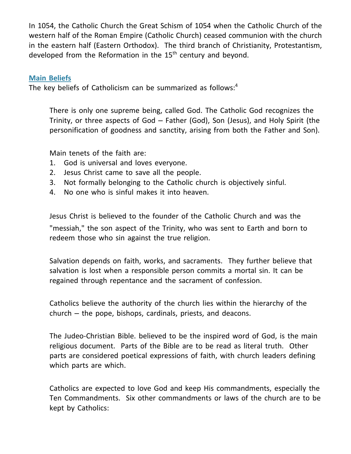In 1054, the Catholic Church the Great Schism of 1054 when the Catholic Church of the western half of the Roman Empire (Catholic Church) ceased communion with the church in the eastern half (Eastern Orthodox). The third branch of Christianity, Protestantism, developed from the Reformation in the 15<sup>th</sup> century and beyond.

## **Main Beliefs**

The key beliefs of Catholicism can be summarized as follows:<sup>4</sup>

There is only one supreme being, called God. The Catholic God recognizes the Trinity, or three aspects of God – Father (God), Son (Jesus), and Holy Spirit (the personification of goodness and sanctity, arising from both the Father and Son).

Main tenets of the faith are:

- 1. God is universal and loves everyone.
- 2. Jesus Christ came to save all the people.
- 3. Not formally belonging to the Catholic church is objectively sinful.
- 4. No one who is sinful makes it into heaven.

Jesus Christ is believed to the founder of the Catholic Church and was the "messiah," the son aspect of the Trinity, who was sent to Earth and born to redeem those who sin against the true religion.

Salvation depends on faith, works, and sacraments. They further believe that salvation is lost when a responsible person commits a mortal sin. It can be regained through repentance and the sacrament of confession.

Catholics believe the authority of the church lies within the hierarchy of the church – the pope, bishops, cardinals, priests, and deacons.

The Judeo-Christian Bible. believed to be the inspired word of God, is the main religious document. Parts of the Bible are to be read as literal truth. Other parts are considered poetical expressions of faith, with church leaders defining which parts are which.

Catholics are expected to love God and keep His commandments, especially the Ten Commandments. Six other commandments or laws of the church are to be kept by Catholics: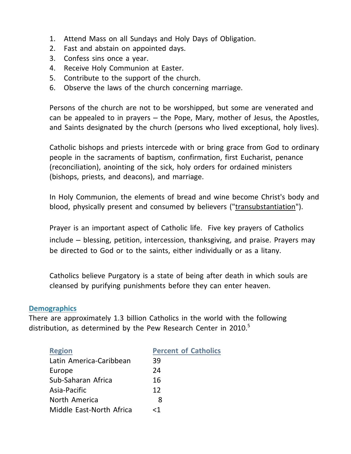- 1. Attend Mass on all Sundays and Holy Days of Obligation.
- 2. Fast and abstain on appointed days.
- 3. Confess sins once a year.
- 4. Receive Holy Communion at Easter.
- 5. Contribute to the support of the church.
- 6. Observe the laws of the church concerning marriage.

Persons of the church are not to be worshipped, but some are venerated and can be appealed to in prayers – the Pope, Mary, mother of Jesus, the Apostles, and Saints designated by the church (persons who lived exceptional, holy lives).

Catholic bishops and priests intercede with or bring grace from God to ordinary people in the sacraments of baptism, confirmation, first Eucharist, penance (reconciliation), anointing of the sick, holy orders for ordained ministers (bishops, priests, and deacons), and marriage.

In Holy Communion, the elements of bread and wine become Christ's body and blood, physically present and consumed by believers (["transubstantiation"](https://www.learnreligions.com/meaning-of-transubstantiation-700728)).

[Prayer](https://www.learnreligions.com/what-is-prayer-542573) is an important aspect of Catholic life. Five key prayers of Catholics include – blessing, petition, intercession, thanksgiving, and praise. Prayers may be directed to God or to the [saints,](https://www.learnreligions.com/why-do-catholics-pray-to-saints-542856) either [individually](https://www.learnreligions.com/what-are-patron-saints-542859) or as a [litany.](https://www.learnreligions.com/the-litany-of-the-saints-542667)

Catholics believe Purgatory is a state of being after death in which souls are cleansed by purifying punishments before they can enter heaven.

## **Demographics**

There are approximately 1.3 billion Catholics in the world with the following distribution, as determined by the Pew Research Center in  $2010<sup>5</sup>$ 

| <b>Region</b>            | <b>Percent of Catholics</b> |
|--------------------------|-----------------------------|
| Latin America-Caribbean  | 39                          |
| Europe                   | 24                          |
| Sub-Saharan Africa       | 16                          |
| Asia-Pacific             | 12                          |
| North America            | 8                           |
| Middle East-North Africa | -1 >                        |